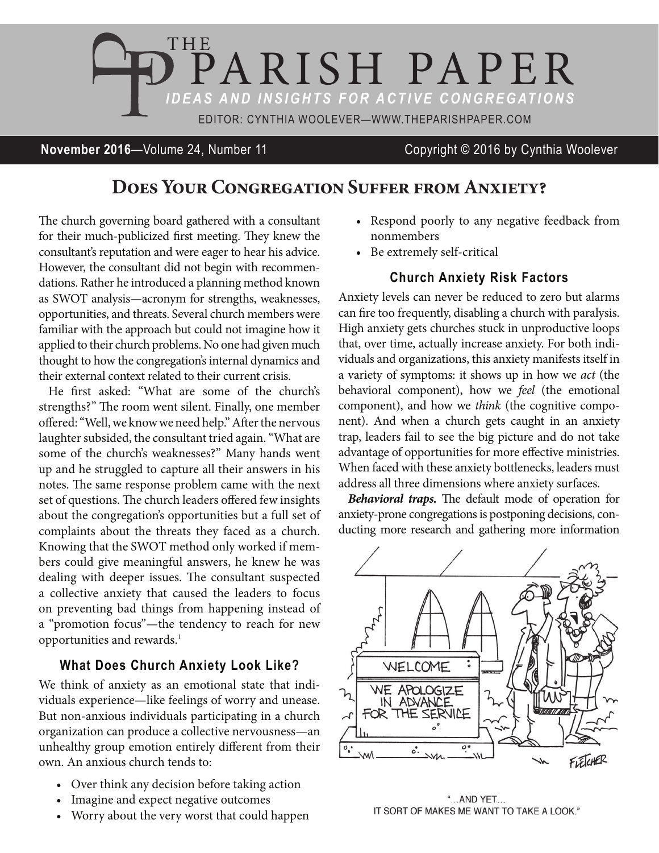

**November 2016**—Volume 24, Number 11 Copyright © 2016 by Cynthia Woolever

## **Does Your Congregation Suffer from Anxiety?**

he church governing board gathered with a consultant for their much-publicized first meeting. They knew the consultant's reputation and were eager to hear his advice. However, the consultant did not begin with recommendations. Rather he introduced a planning method known as SWOT analysis—acronym for strengths, weaknesses, opportunities, and threats. Several church members were familiar with the approach but could not imagine how it applied to their church problems. No one had given much thought to how the congregation's internal dynamics and their external context related to their current crisis.

He first asked: "What are some of the church's strengths?" The room went silent. Finally, one member ofered: "Well, we know we need help." Ater the nervous laughter subsided, the consultant tried again. "What are some of the church's weaknesses?" Many hands went up and he struggled to capture all their answers in his notes. The same response problem came with the next set of questions. The church leaders offered few insights about the congregation's opportunities but a full set of complaints about the threats they faced as a church. Knowing that the SWOT method only worked if members could give meaningful answers, he knew he was dealing with deeper issues. The consultant suspected a collective anxiety that caused the leaders to focus on preventing bad things from happening instead of a "promotion focus"—the tendency to reach for new opportunities and rewards.<sup>1</sup>

## **What Does Church Anxiety Look Like?**

We think of anxiety as an emotional state that individuals experience—like feelings of worry and unease. But non-anxious individuals participating in a church organization can produce a collective nervousness—an unhealthy group emotion entirely diferent from their own. An anxious church tends to:

- Over think any decision before taking action
- Imagine and expect negative outcomes
- Worry about the very worst that could happen
- Respond poorly to any negative feedback from nonmembers
- • Be extremely self-critical

## **Church Anxiety Risk Factors**

Anxiety levels can never be reduced to zero but alarms can fire too frequently, disabling a church with paralysis. High anxiety gets churches stuck in unproductive loops that, over time, actually increase anxiety. For both individuals and organizations, this anxiety manifests itself in a variety of symptoms: it shows up in how we act (the behavioral component), how we feel (the emotional component), and how we think (the cognitive component). And when a church gets caught in an anxiety trap, leaders fail to see the big picture and do not take advantage of opportunities for more efective ministries. When faced with these anxiety bottlenecks, leaders must address all three dimensions where anxiety surfaces.

**Behavioral traps.** The default mode of operation for anxiety-prone congregations is postponing decisions, conducting more research and gathering more information



"...AND YET... IT SORT OF MAKES ME WANT TO TAKE A LOOK."